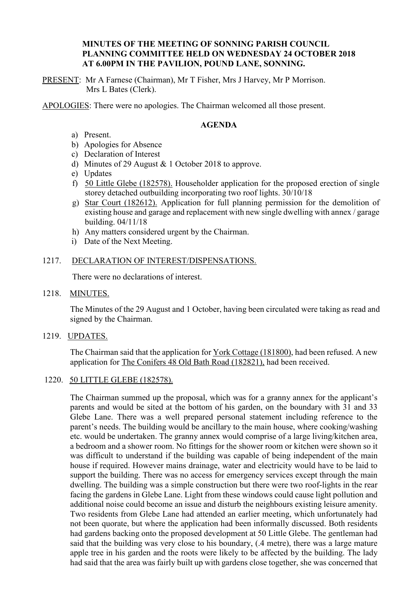## **MINUTES OF THE MEETING OF SONNING PARISH COUNCIL PLANNING COMMITTEE HELD ON WEDNESDAY 24 OCTOBER 2018 AT 6.00PM IN THE PAVILION, POUND LANE, SONNING.**

PRESENT: Mr A Farnese (Chairman), Mr T Fisher, Mrs J Harvey, Mr P Morrison. Mrs L Bates (Clerk).

APOLOGIES: There were no apologies. The Chairman welcomed all those present.

## **AGENDA**

- a) Present.
- b) Apologies for Absence
- c) Declaration of Interest
- d) Minutes of 29 August & 1 October 2018 to approve.
- e) Updates
- f) 50 Little Glebe (182578). Householder application for the proposed erection of single storey detached outbuilding incorporating two roof lights. 30/10/18
- g) Star Court (182612). Application for full planning permission for the demolition of existing house and garage and replacement with new single dwelling with annex / garage building. 04/11/18
- h) Any matters considered urgent by the Chairman.
- i) Date of the Next Meeting.

### 1217. DECLARATION OF INTEREST/DISPENSATIONS.

There were no declarations of interest.

1218. MINUTES.

The Minutes of the 29 August and 1 October, having been circulated were taking as read and signed by the Chairman.

1219. UPDATES.

The Chairman said that the application for York Cottage (181800), had been refused. A new application for The Conifers 48 Old Bath Road (182821), had been received.

#### 1220. 50 LITTLE GLEBE (182578).

The Chairman summed up the proposal, which was for a granny annex for the applicant's parents and would be sited at the bottom of his garden, on the boundary with 31 and 33 Glebe Lane. There was a well prepared personal statement including reference to the parent's needs. The building would be ancillary to the main house, where cooking/washing etc. would be undertaken. The granny annex would comprise of a large living/kitchen area, a bedroom and a shower room. No fittings for the shower room or kitchen were shown so it was difficult to understand if the building was capable of being independent of the main house if required. However mains drainage, water and electricity would have to be laid to support the building. There was no access for emergency services except through the main dwelling. The building was a simple construction but there were two roof-lights in the rear facing the gardens in Glebe Lane. Light from these windows could cause light pollution and additional noise could become an issue and disturb the neighbours existing leisure amenity. Two residents from Glebe Lane had attended an earlier meeting, which unfortunately had not been quorate, but where the application had been informally discussed. Both residents had gardens backing onto the proposed development at 50 Little Glebe. The gentleman had said that the building was very close to his boundary, (.4 metre), there was a large mature apple tree in his garden and the roots were likely to be affected by the building. The lady had said that the area was fairly built up with gardens close together, she was concerned that